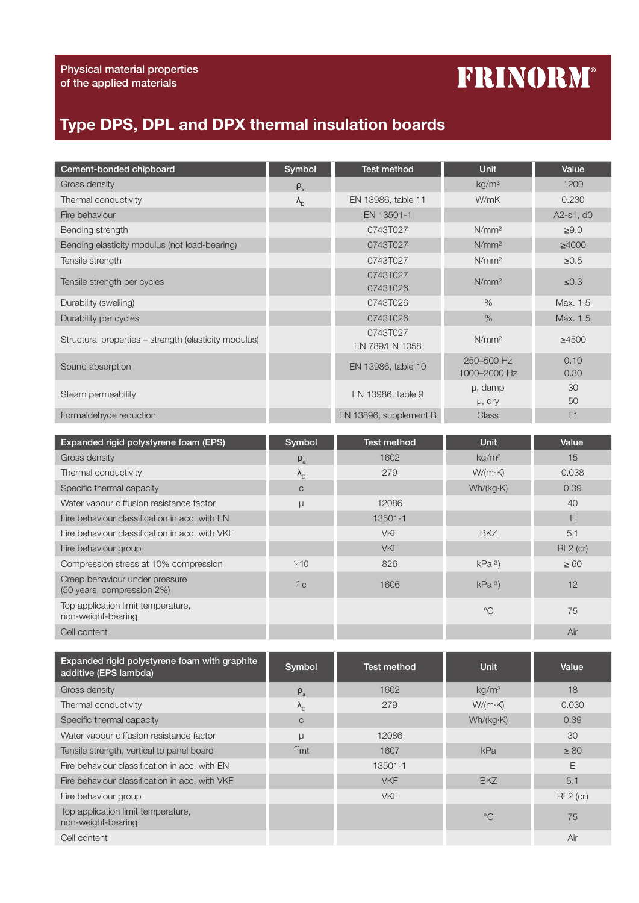## **FRINORM®**

## Type DPS, DPL and DPX thermal insulation boards

| Cement-bonded chipboard                                      | Symbol            | Test method                | Unit                       | Value        |
|--------------------------------------------------------------|-------------------|----------------------------|----------------------------|--------------|
| Gross density                                                | $\rho_a$          |                            | kg/m <sup>3</sup>          | 1200         |
| Thermal conductivity                                         | $\lambda_{\rm D}$ | EN 13986, table 11         | W/mK                       | 0.230        |
| Fire behaviour                                               |                   | EN 13501-1                 |                            | A2-s1, d0    |
| Bending strength                                             |                   | 0743T027                   | N/mm <sup>2</sup>          | $\geq 9.0$   |
| Bending elasticity modulus (not load-bearing)                |                   | 0743T027                   | N/mm <sup>2</sup>          | $\geq 4000$  |
| Tensile strength                                             |                   | 0743T027                   | N/mm <sup>2</sup>          | $\geq 0.5$   |
| Tensile strength per cycles                                  |                   | 0743T027<br>0743T026       | N/mm <sup>2</sup>          | ≤0.3         |
| Durability (swelling)                                        |                   | 0743T026                   | $\%$                       | Max. 1.5     |
| Durability per cycles                                        |                   | 0743T026                   | $\frac{1}{2}$              | Max. 1.5     |
| Structural properties - strength (elasticity modulus)        |                   | 0743T027<br>EN 789/EN 1058 | N/mm <sup>2</sup>          | $\geq 4500$  |
| Sound absorption                                             |                   | EN 13986, table 10         | 250-500 Hz<br>1000-2000 Hz | 0.10<br>0.30 |
| Steam permeability                                           |                   | EN 13986, table 9          | µ, damp<br>µ, dry          | 30<br>50     |
| Formaldehyde reduction                                       |                   | EN 13896, supplement B     | <b>Class</b>               | E1           |
|                                                              |                   |                            |                            |              |
| Expanded rigid polystyrene foam (EPS)                        | Symbol            | Test method                | <b>Unit</b>                | Value        |
| Gross density                                                | $\rho_{\rm a}$    | 1602                       | kg/m <sup>3</sup>          | 15           |
| Thermal conductivity                                         | $\lambda_{\rm D}$ | 279                        | $W/(m \cdot K)$            | 0.038        |
| Specific thermal capacity                                    | $\mathsf{C}$      |                            | Wh/(kg·K)                  | 0.39         |
| Water vapour diffusion resistance factor                     | μ                 | 12086                      |                            | 40           |
| Fire behaviour classification in acc. with EN                |                   | 13501-1                    |                            | $\mathsf E$  |
| Fire behaviour classification in acc. with VKF               |                   | <b>VKF</b>                 | <b>BKZ</b>                 | 5,1          |
| Fire behaviour group                                         |                   | <b>VKF</b>                 |                            | RF2 (cr)     |
| Compression stress at 10% compression                        | 010               | 826                        | kPa <sup>3</sup>           | $\geq 60$    |
| Creep behaviour under pressure<br>(50 years, compression 2%) | $\sigma_{\rm C}$  | 1606                       | kPa <sup>3</sup>           | 12           |
| Top application limit temperature,<br>non-weight-bearing     |                   |                            | $^{\circ}C$                | 75           |
| Cell content                                                 |                   |                            |                            | Air          |

| Expanded rigid polystyrene foam with graphite<br>additive (EPS lambda) | Symbol            | Test method | <b>Unit</b>       | Value      |
|------------------------------------------------------------------------|-------------------|-------------|-------------------|------------|
| Gross density                                                          | $\rho_a$          | 1602        | kg/m <sup>3</sup> | 18         |
| Thermal conductivity                                                   | $\Lambda_{\rm D}$ | 279         | $W/(m \cdot K)$   | 0.030      |
| Specific thermal capacity                                              | $\mathsf{C}$      |             | Wh/(kg·K)         | 0.39       |
| Water vapour diffusion resistance factor                               | μ                 | 12086       |                   | 30         |
| Tensile strength, vertical to panel board                              | Omt               | 1607        | kPa               | $\geq 80$  |
| Fire behaviour classification in acc. with EN                          |                   | 13501-1     |                   | E          |
| Fire behaviour classification in acc. with VKF                         |                   | <b>VKF</b>  | <b>BKZ</b>        | 5.1        |
| Fire behaviour group                                                   |                   | <b>VKF</b>  |                   | $RF2$ (cr) |
| Top application limit temperature,<br>non-weight-bearing               |                   |             | $^{\circ}C$       | 75         |
| Cell content                                                           |                   |             |                   | Air        |